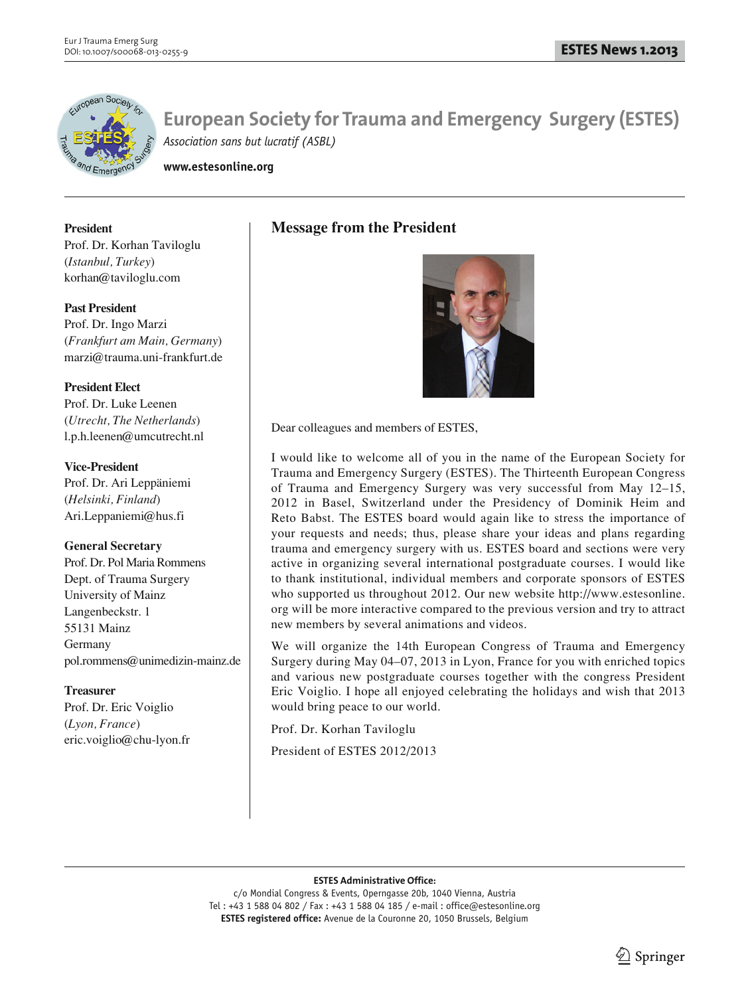

**www.estesonline.org**

## **President**

Prof. Dr. Korhan Taviloglu (*Istanbul, Turkey*) korhan@taviloglu.com

**Past President** Prof. Dr. Ingo Marzi (*Frankfurt am Main, Germany*) marzi@trauma.uni-frankfurt.de

### **President Elect**

Prof. Dr. Luke Leenen (*Utrecht, The Netherlands*) l.p.h.leenen@umcutrecht.nl

# **Vice-President**

Prof. Dr. Ari Leppäniemi (*Helsinki, Finland*) Ari.Leppaniemi@hus.fi

# **General Secretary**

Prof. Dr. Pol Maria Rommens Dept. of Trauma Surgery University of Mainz Langenbeckstr. 1 55131 Mainz Germany pol.rommens@unimedizin-mainz.de

# **Treasurer**

Prof. Dr. Eric Voiglio (*Lyon, France*) eric.voiglio@chu-lyon.fr

# **Message from the President**



Dear colleagues and members of ESTES,

I would like to welcome all of you in the name of the European Society for Trauma and Emergency Surgery (ESTES). The Thirteenth European Congress of Trauma and Emergency Surgery was very successful from May 12–15, 2012 in Basel, Switzerland under the Presidency of Dominik Heim and Reto Babst. The ESTES board would again like to stress the importance of your requests and needs; thus, please share your ideas and plans regarding trauma and emergency surgery with us. ESTES board and sections were very active in organizing several international postgraduate courses. I would like to thank institutional, individual members and corporate sponsors of ESTES who supported us throughout 2012. Our new website http://www.estesonline. org will be more interactive compared to the previous version and try to attract new members by several animations and videos.

We will organize the 14th European Congress of Trauma and Emergency Surgery during May 04–07, 2013 in Lyon, France for you with enriched topics and various new postgraduate courses together with the congress President Eric Voiglio. I hope all enjoyed celebrating the holidays and wish that 2013 would bring peace to our world.

Prof. Dr. Korhan Taviloglu

President of ESTES 2012/2013

#### **ESTES Administrative Office:**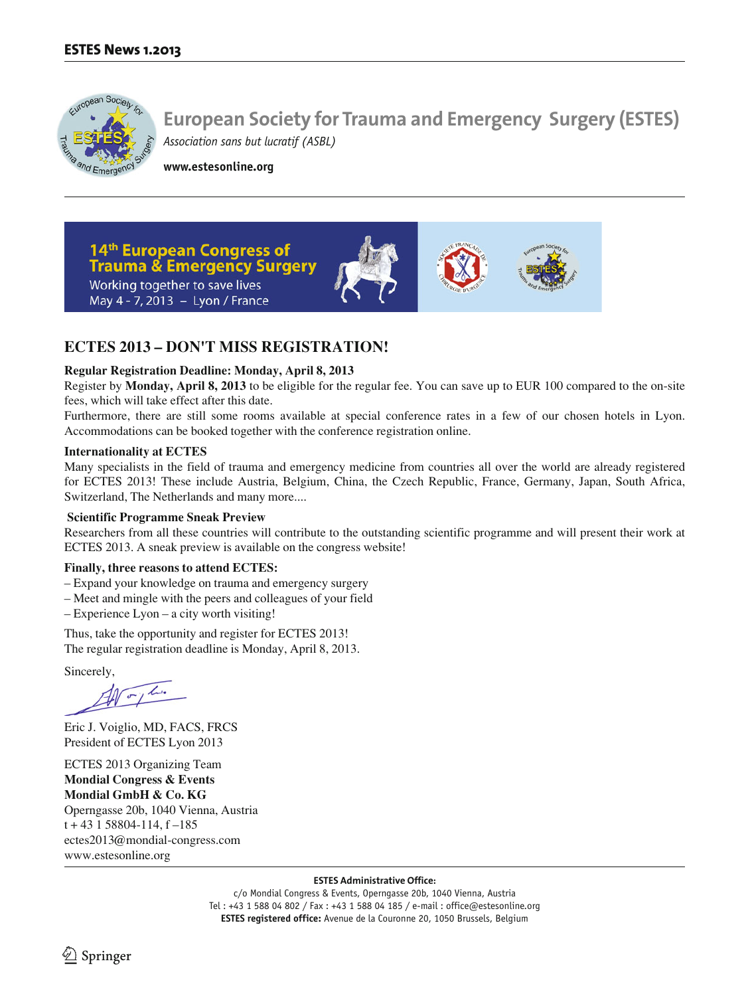

**www.estesonline.org**



# **ECTES 2013 – DON'T MISS REGISTRATION!**

#### **Regular Registration Deadline: Monday, April 8, 2013**

Register by **Monday, April 8, 2013** to be eligible for the regular fee. You can save up to EUR 100 compared to the on-site fees, which will take effect after this date.

Furthermore, there are still some rooms available at special conference rates in a few of our chosen hotels in Lyon. Accommodations can be booked together with the conference registration online.

#### **Internationality at ECTES**

Many specialists in the field of trauma and emergency medicine from countries all over the world are already registered for ECTES 2013! These include Austria, Belgium, China, the Czech Republic, France, Germany, Japan, South Africa, Switzerland, The Netherlands and many more....

#### **Scientific Programme Sneak Preview**

Researchers from all these countries will contribute to the outstanding scientific programme and will present their work at ECTES 2013. A sneak preview is available on the congress website!

#### **Finally, three reasons to attend ECTES:**

- Expand your knowledge on trauma and emergency surgery
- Meet and mingle with the peers and colleagues of your field
- Experience Lyon a city worth visiting!

Thus, take the opportunity and register for ECTES 2013! The regular registration deadline is Monday, April 8, 2013.

Sincerely,

 $40 - 1$ 

Eric J. Voiglio, MD, FACS, FRCS President of ECTES Lyon 2013

ECTES 2013 Organizing Team **Mondial Congress & Events Mondial GmbH & Co. KG** Operngasse 20b, 1040 Vienna, Austria  $t + 43$  1 58804-114,  $f - 185$ ectes2013@mondial-congress.com www.estesonline.org

#### **ESTES Administrative Office:**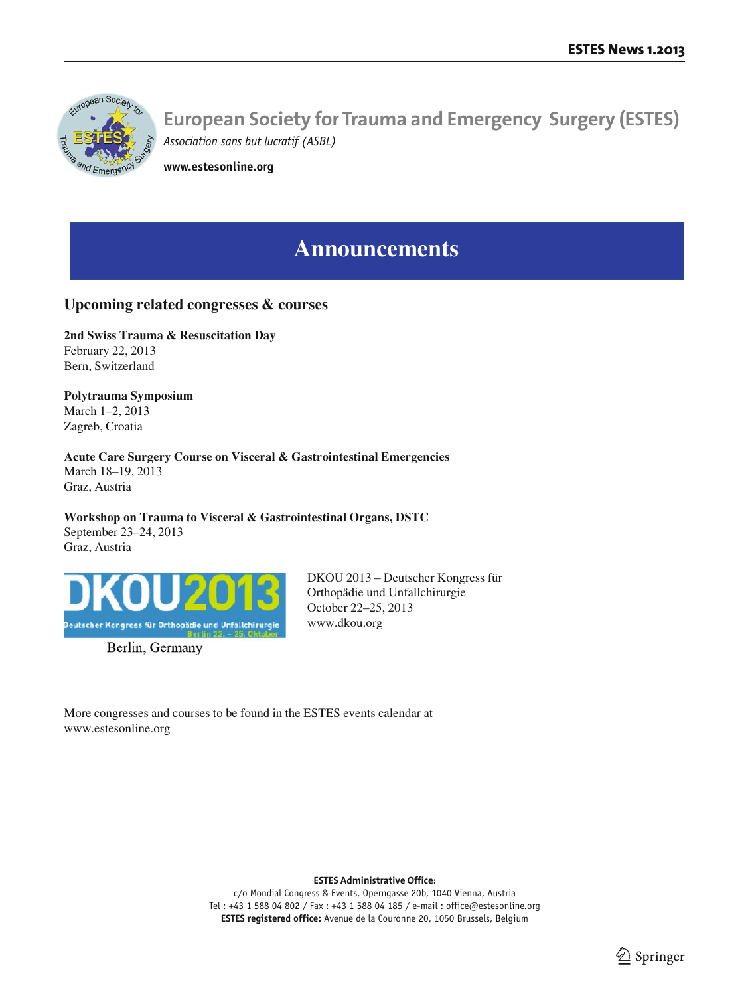

**www.estesonline.org**

# **Announcements**

# **Upcoming related congresses & courses**

**2nd Swiss Trauma & Resuscitation Day** February 22, 2013 Bern, Switzerland

**Polytrauma Symposium** March 1–2, 2013 Zagreb, Croatia

**Acute Care Surgery Course on Visceral & Gastrointestinal Emergencies** March 18–19, 2013 Graz, Austria

**Workshop on Trauma to Visceral & Gastrointestinal Organs, DSTC** September 23–24, 2013

Graz, Austria



Berlin, Germany

DKOU 2013 – Deutscher Kongress für Orthopädie und Unfallchirurgie October 22–25, 2013 www.dkou.org

More congresses and courses to be found in the ESTES events calendar at www.estesonline.org

**ESTES Administrative Office:**